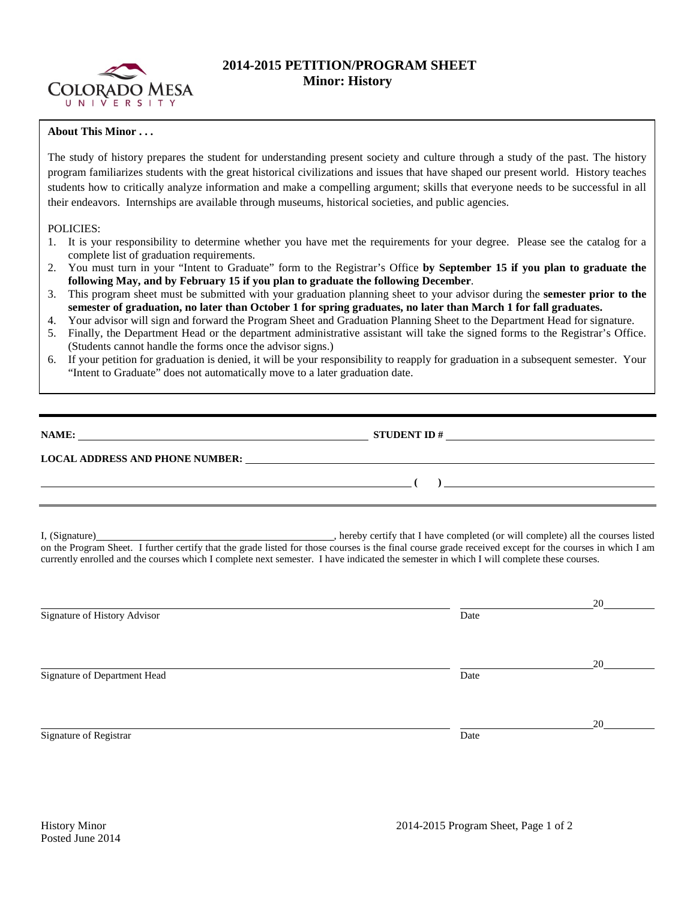

# **2014-2015 PETITION/PROGRAM SHEET Minor: History**

## **About This Minor . . .**

The study of history prepares the student for understanding present society and culture through a study of the past. The history program familiarizes students with the great historical civilizations and issues that have shaped our present world. History teaches students how to critically analyze information and make a compelling argument; skills that everyone needs to be successful in all their endeavors. Internships are available through museums, historical societies, and public agencies.

### POLICIES:

- 1. It is your responsibility to determine whether you have met the requirements for your degree. Please see the catalog for a complete list of graduation requirements.
- 2. You must turn in your "Intent to Graduate" form to the Registrar's Office **by September 15 if you plan to graduate the following May, and by February 15 if you plan to graduate the following December**.
- 3. This program sheet must be submitted with your graduation planning sheet to your advisor during the **semester prior to the semester of graduation, no later than October 1 for spring graduates, no later than March 1 for fall graduates.**
- 4. Your advisor will sign and forward the Program Sheet and Graduation Planning Sheet to the Department Head for signature.
- 5. Finally, the Department Head or the department administrative assistant will take the signed forms to the Registrar's Office. (Students cannot handle the forms once the advisor signs.)
- 6. If your petition for graduation is denied, it will be your responsibility to reapply for graduation in a subsequent semester. Your "Intent to Graduate" does not automatically move to a later graduation date.

| NAME:                                  | <b>STUDENT ID#</b> |
|----------------------------------------|--------------------|
| <b>LOCAL ADDRESS AND PHONE NUMBER:</b> |                    |
|                                        |                    |

I, (Signature) , hereby certify that I have completed (or will complete) all the courses listed on the Program Sheet. I further certify that the grade listed for those courses is the final course grade received except for the courses in which I am currently enrolled and the courses which I complete next semester. I have indicated the semester in which I will complete these courses.

|                              |      | 20 |
|------------------------------|------|----|
| Signature of History Advisor | Date |    |
|                              |      |    |
|                              |      | 20 |
| Signature of Department Head | Date |    |
|                              |      |    |
|                              |      |    |
| Signature of Registrar       | Date |    |
|                              |      | 20 |